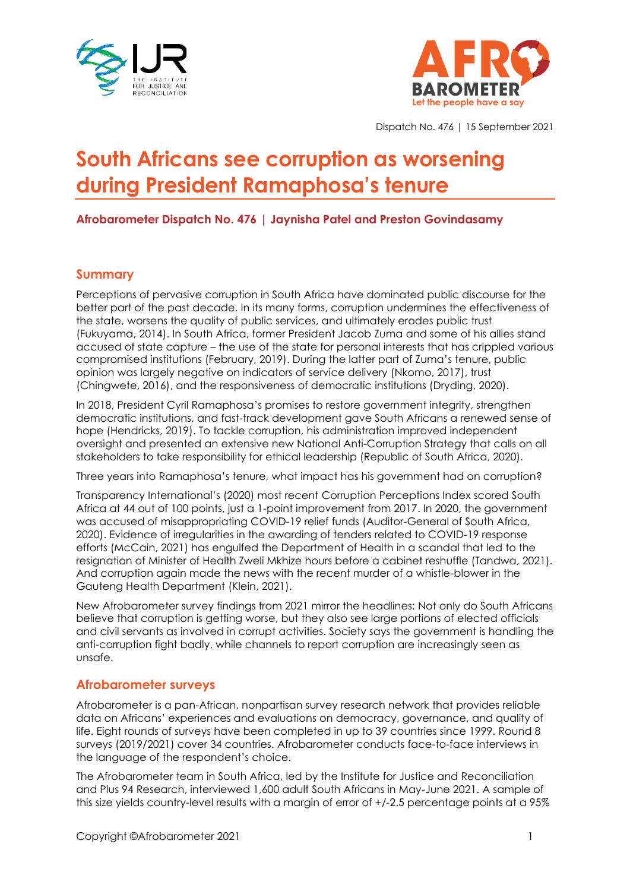



Dispatch No. 476 | 15 September 2021

# **South Africans see corruption as worsening during President Ramaphosa's tenure**

**Afrobarometer Dispatch No. 476 | Jaynisha Patel and Preston Govindasamy**

# **Summary**

Perceptions of pervasive corruption in South Africa have dominated public discourse for the better part of the past decade. In its many forms, corruption undermines the effectiveness of the state, worsens the quality of public services, and ultimately erodes public trust (Fukuyama, 2014). In South Africa, former President Jacob Zuma and some of his allies stand accused of state capture – the use of the state for personal interests that has crippled various compromised institutions (February, 2019). During the latter part of Zuma's tenure, public opinion was largely negative on indicators of service delivery (Nkomo, 2017), trust (Chingwete, 2016), and the responsiveness of democratic institutions (Dryding, 2020).

In 2018, President Cyril Ramaphosa's promises to restore government integrity, strengthen democratic institutions, and fast-track development gave South Africans a renewed sense of hope (Hendricks, 2019). To tackle corruption, his administration improved independent oversight and presented an extensive new National Anti-Corruption Strategy that calls on all stakeholders to take responsibility for ethical leadership (Republic of South Africa, 2020).

Three years into Ramaphosa's tenure, what impact has his government had on corruption?

Transparency International's (2020) most recent Corruption Perceptions Index scored South Africa at 44 out of 100 points, just a 1-point improvement from 2017. In 2020, the government was accused of misappropriating COVID-19 relief funds (Auditor-General of South Africa, 2020). Evidence of irregularities in the awarding of tenders related to COVID-19 response efforts (McCain, 2021) has engulfed the Department of Health in a scandal that led to the resignation of Minister of Health Zweli Mkhize hours before a cabinet reshuffle (Tandwa, 2021). And corruption again made the news with the recent murder of a whistle-blower in the Gauteng Health Department (Klein, 2021).

New Afrobarometer survey findings from 2021 mirror the headlines: Not only do South Africans believe that corruption is getting worse, but they also see large portions of elected officials and civil servants as involved in corrupt activities. Society says the government is handling the anti-corruption fight badly, while channels to report corruption are increasingly seen as unsafe.

# **Afrobarometer surveys**

Afrobarometer is a pan-African, nonpartisan survey research network that provides reliable data on Africans' experiences and evaluations on democracy, governance, and quality of life. Eight rounds of surveys have been completed in up to 39 countries since 1999. Round 8 surveys (2019/2021) cover 34 countries. Afrobarometer conducts face-to-face interviews in the language of the respondent's choice.

The Afrobarometer team in South Africa, led by the Institute for Justice and Reconciliation and Plus 94 Research, interviewed 1,600 adult South Africans in May-June 2021. A sample of this size yields country-level results with a margin of error of +/-2.5 percentage points at a 95%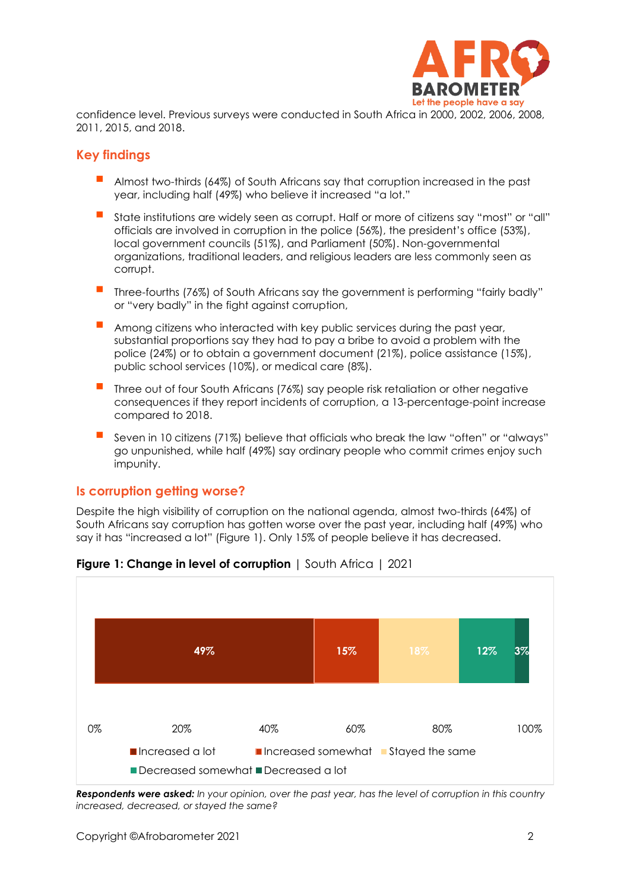

confidence level. Previous surveys were conducted in South Africa in 2000, 2002, 2006, 2008, 2011, 2015, and 2018.

# **Key findings**

- Almost two-thirds (64%) of South Africans say that corruption increased in the past year, including half (49%) who believe it increased "a lot."
- State institutions are widely seen as corrupt. Half or more of citizens say "most" or "all" officials are involved in corruption in the police (56%), the president's office (53%), local government councils (51%), and Parliament (50%). Non-governmental organizations, traditional leaders, and religious leaders are less commonly seen as corrupt.
- Three-fourths (76%) of South Africans say the government is performing "fairly badly" or "very badly" in the fight against corruption,
- Among citizens who interacted with key public services during the past year, substantial proportions say they had to pay a bribe to avoid a problem with the police (24%) or to obtain a government document (21%), police assistance (15%), public school services (10%), or medical care (8%).
- Three out of four South Africans (76%) say people risk retaliation or other negative consequences if they report incidents of corruption, a 13-percentage-point increase compared to 2018.
- Seven in 10 citizens (71%) believe that officials who break the law "often" or "always" go unpunished, while half (49%) say ordinary people who commit crimes enjoy such impunity.

#### **Is corruption getting worse?**

Despite the high visibility of corruption on the national agenda, almost two-thirds (64%) of South Africans say corruption has gotten worse over the past year, including half (49%) who say it has "increased a lot" (Figure 1). Only 15% of people believe it has decreased.



# **Figure 1: Change in level of corruption** | South Africa | 2021

*Respondents were asked: In your opinion, over the past year, has the level of corruption in this country increased, decreased, or stayed the same?*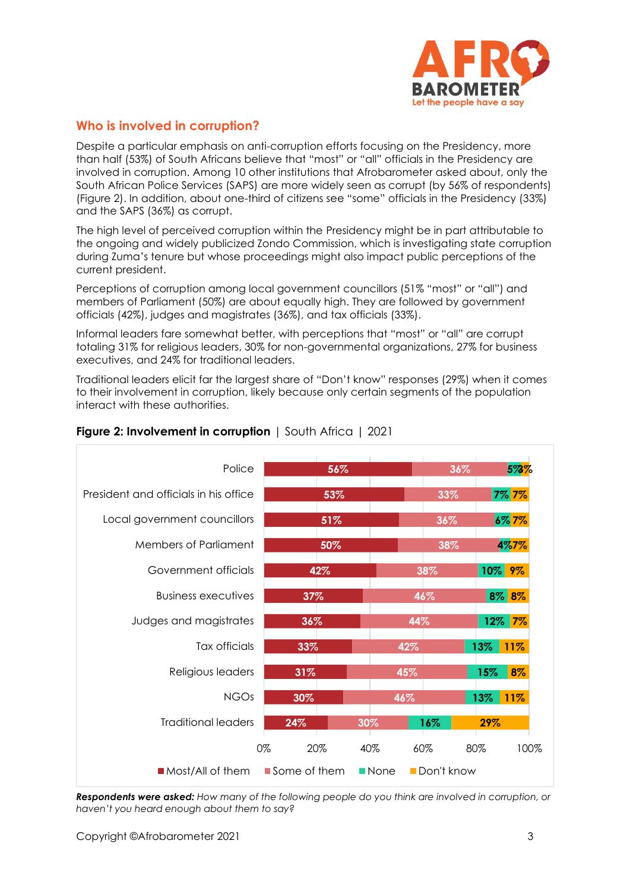

# **Who is involved in corruption?**

Despite a particular emphasis on anti-corruption efforts focusing on the Presidency, more than half (53%) of South Africans believe that "most" or "all" officials in the Presidency are involved in corruption. Among 10 other institutions that Afrobarometer asked about, only the South African Police Services (SAPS) are more widely seen as corrupt (by 56% of respondents) (Figure 2). In addition, about one-third of citizens see "some" officials in the Presidency (33%) and the SAPS (36%) as corrupt.

The high level of perceived corruption within the Presidency might be in part attributable to the ongoing and widely publicized Zondo Commission, which is investigating state corruption during Zuma's tenure but whose proceedings might also impact public perceptions of the current president.

Perceptions of corruption among local government councillors (51% "most" or "all") and members of Parliament (50%) are about equally high. They are followed by government officials (42%), judges and magistrates (36%), and tax officials (33%).

Informal leaders fare somewhat better, with perceptions that "most" or "all" are corrupt totaling 31% for religious leaders, 30% for non-governmental organizations, 27% for business executives, and 24% for traditional leaders.

Traditional leaders elicit far the largest share of "Don't know" responses (29%) when it comes to their involvement in corruption, likely because only certain segments of the population interact with these authorities.

| Police                                | 56%            |                           | 36%<br>5%%    |
|---------------------------------------|----------------|---------------------------|---------------|
| President and officials in his office | 53%            | 33%                       | <b>7% 7%</b>  |
| Local government councillors          | 51%            | 36%                       | 6%7%          |
| <b>Members of Parliament</b>          | 50%            | 38%                       | 4%7%          |
| Government officials                  | 42%            | 38%                       | $10\%$<br>9%  |
| <b>Business executives</b>            | 37%            | 46%                       | 8% 8%         |
| Judges and magistrates                | 36%            | 44%                       | 12%<br>7%     |
| Tax officials                         | 33%            | 42%                       | 13%<br>11%    |
| Religious leaders                     | 31%            | 45%                       | 8%<br>15%     |
| <b>NGOs</b>                           | 30%            | 46%                       | 13%<br>$11\%$ |
| Traditional leaders                   | 24%            | $16\%$<br>30%             | 29%           |
|                                       | 0%<br>20%      | 40%<br>60%                | 80%<br>100%   |
| $\blacksquare$ Most/All of them       | ■ Some of them | Don't know<br><b>None</b> |               |

### **Figure 2: Involvement in corruption** | South Africa | 2021

*Respondents were asked: How many of the following people do you think are involved in corruption, or haven't you heard enough about them to say?*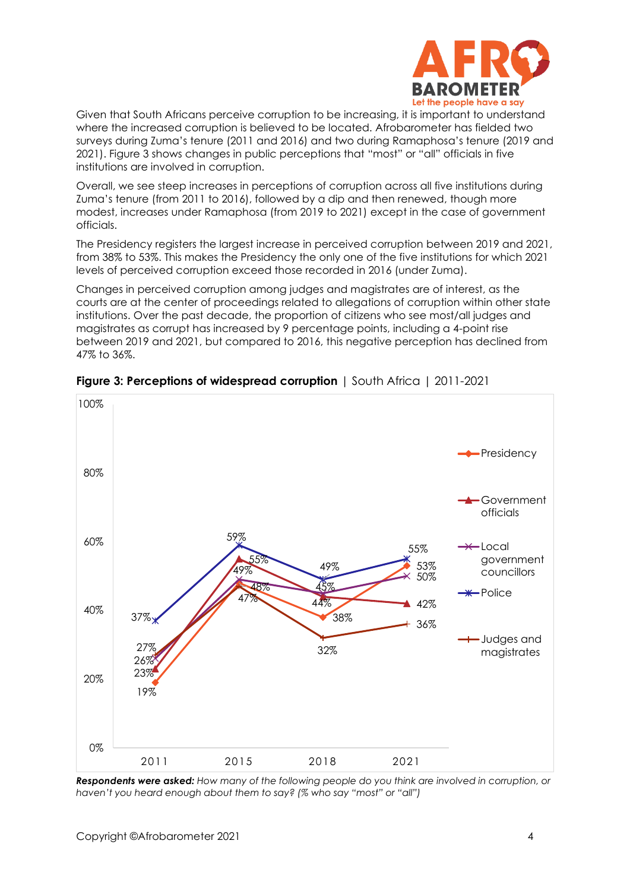

Given that South Africans perceive corruption to be increasing, it is important to understand where the increased corruption is believed to be located. Afrobarometer has fielded two surveys during Zuma's tenure (2011 and 2016) and two during Ramaphosa's tenure (2019 and 2021). Figure 3 shows changes in public perceptions that "most" or "all" officials in five institutions are involved in corruption.

Overall, we see steep increases in perceptions of corruption across all five institutions during Zuma's tenure (from 2011 to 2016), followed by a dip and then renewed, though more modest, increases under Ramaphosa (from 2019 to 2021) except in the case of government officials.

The Presidency registers the largest increase in perceived corruption between 2019 and 2021, from 38% to 53%. This makes the Presidency the only one of the five institutions for which 2021 levels of perceived corruption exceed those recorded in 2016 (under Zuma).

Changes in perceived corruption among judges and magistrates are of interest, as the courts are at the center of proceedings related to allegations of corruption within other state institutions. Over the past decade, the proportion of citizens who see most/all judges and magistrates as corrupt has increased by 9 percentage points, including a 4-point rise between 2019 and 2021, but compared to 2016, this negative perception has declined from 47% to 36%.



**Figure 3: Perceptions of widespread corruption** | South Africa | 2011-2021

*Respondents were asked: How many of the following people do you think are involved in corruption, or haven't you heard enough about them to say? (% who say "most" or "all")*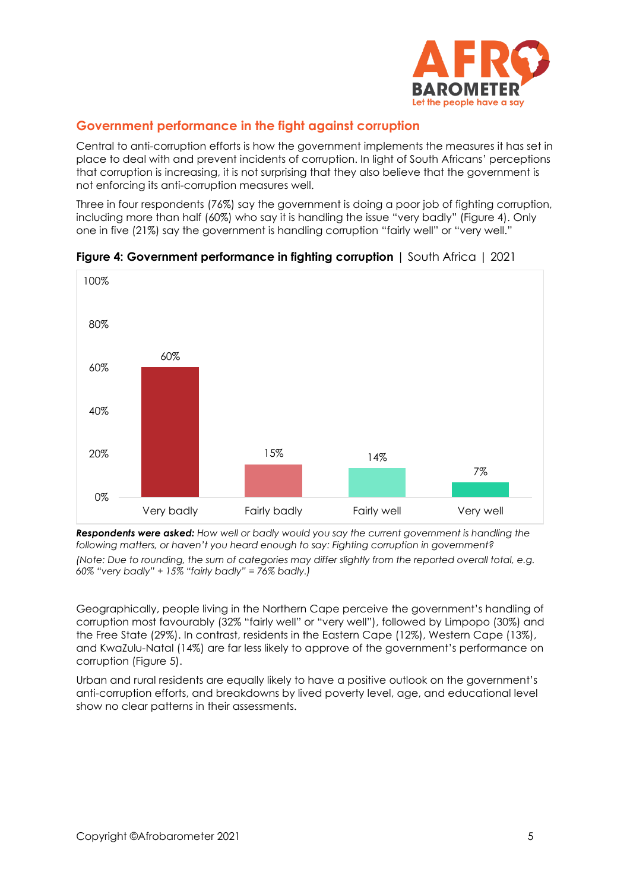

# **Government performance in the fight against corruption**

Central to anti-corruption efforts is how the government implements the measures it has set in place to deal with and prevent incidents of corruption. In light of South Africans' perceptions that corruption is increasing, it is not surprising that they also believe that the government is not enforcing its anti-corruption measures well.

Three in four respondents (76%) say the government is doing a poor job of fighting corruption, including more than half (60%) who say it is handling the issue "very badly" (Figure 4). Only one in five (21%) say the government is handling corruption "fairly well" or "very well."





*Respondents were asked: How well or badly would you say the current government is handling the following matters, or haven't you heard enough to say: Fighting corruption in government? (Note: Due to rounding, the sum of categories may differ slightly from the reported overall total, e.g. 60% "very badly" + 15% "fairly badly" = 76% badly.)*

Geographically, people living in the Northern Cape perceive the government's handling of corruption most favourably (32% "fairly well" or "very well"), followed by Limpopo (30%) and the Free State (29%). In contrast, residents in the Eastern Cape (12%), Western Cape (13%), and KwaZulu-Natal (14%) are far less likely to approve of the government's performance on corruption (Figure 5).

Urban and rural residents are equally likely to have a positive outlook on the government's anti-corruption efforts, and breakdowns by lived poverty level, age, and educational level show no clear patterns in their assessments.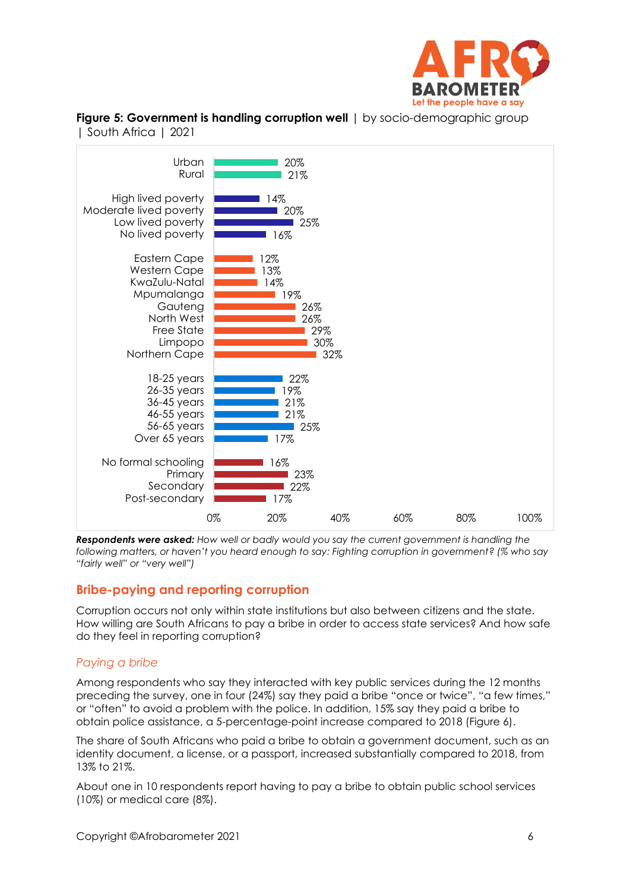

**Figure 5: Government is handling corruption well**  $\vert$  by socio-demographic group | South Africa | 2021



*Respondents were asked: How well or badly would you say the current government is handling the following matters, or haven't you heard enough to say: Fighting corruption in government? (% who say "fairly well" or "very well")*

# **Bribe-paying and reporting corruption**

Corruption occurs not only within state institutions but also between citizens and the state. How willing are South Africans to pay a bribe in order to access state services? And how safe do they feel in reporting corruption?

#### *Paying a bribe*

Among respondents who say they interacted with key public services during the 12 months preceding the survey, one in four (24%) say they paid a bribe "once or twice", "a few times," or "often" to avoid a problem with the police. In addition, 15% say they paid a bribe to obtain police assistance, a 5-percentage-point increase compared to 2018 (Figure 6).

The share of South Africans who paid a bribe to obtain a government document, such as an identity document, a license, or a passport, increased substantially compared to 2018, from 13% to 21%.

About one in 10 respondents report having to pay a bribe to obtain public school services (10%) or medical care (8%).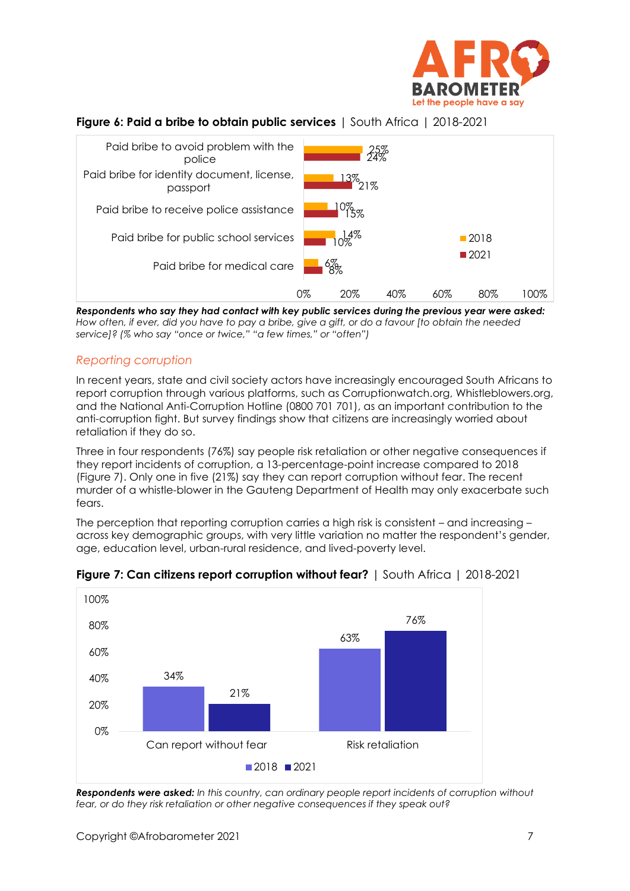

# **Figure 6: Paid a bribe to obtain public services** | South Africa | 2018-2021



*Respondents who say they had contact with key public services during the previous year were asked: How often, if ever, did you have to pay a bribe, give a gift, or do a favour [to obtain the needed service]? (% who say "once or twice," "a few times," or "often")*

### *Reporting corruption*

In recent years, state and civil society actors have increasingly encouraged South Africans to report corruption through various platforms, such as Corruptionwatch.org, Whistleblowers.org, and the National Anti-Corruption Hotline (0800 701 701), as an important contribution to the anti-corruption fight. But survey findings show that citizens are increasingly worried about retaliation if they do so.

Three in four respondents (76%) say people risk retaliation or other negative consequences if they report incidents of corruption, a 13-percentage-point increase compared to 2018 (Figure 7). Only one in five (21%) say they can report corruption without fear. The recent murder of a whistle-blower in the Gauteng Department of Health may only exacerbate such fears.

The perception that reporting corruption carries a high risk is consistent – and increasing – across key demographic groups, with very little variation no matter the respondent's gender, age, education level, urban-rural residence, and lived-poverty level.



**Figure 7: Can citizens report corruption without fear?** | South Africa | 2018-2021

*Respondents were asked: In this country, can ordinary people report incidents of corruption without fear, or do they risk retaliation or other negative consequences if they speak out?*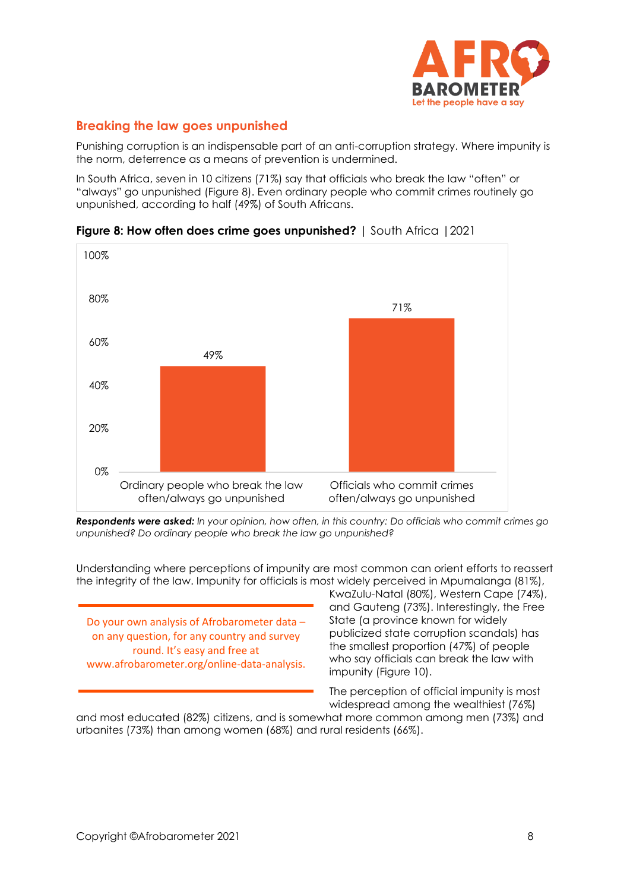

# **Breaking the law goes unpunished**

Punishing corruption is an indispensable part of an anti-corruption strategy. Where impunity is the norm, deterrence as a means of prevention is undermined.

In South Africa, seven in 10 citizens (71%) say that officials who break the law "often" or "always" go unpunished (Figure 8). Even ordinary people who commit crimes routinely go unpunished, according to half (49%) of South Africans.



**Figure 8: How often does crime goes unpunished?** | South Africa |2021

*Respondents were asked: In your opinion, how often, in this country: Do officials who commit crimes go unpunished? Do ordinary people who break the law go unpunished?*

Understanding where perceptions of impunity are most common can orient efforts to reassert the integrity of the law. Impunity for officials is most widely perceived in Mpumalanga (81%),

Do your own analysis of Afrobarometer data – on any question, for any country and survey round. It's easy and free at www.afrobarometer.org/online-data-analysis.

KwaZulu-Natal (80%), Western Cape (74%), and Gauteng (73%). Interestingly, the Free State (a province known for widely publicized state corruption scandals) has the smallest proportion (47%) of people who say officials can break the law with impunity (Figure 10).

The perception of official impunity is most widespread among the wealthiest (76%)

and most educated (82%) citizens, and is somewhat more common among men (73%) and urbanites (73%) than among women (68%) and rural residents (66%).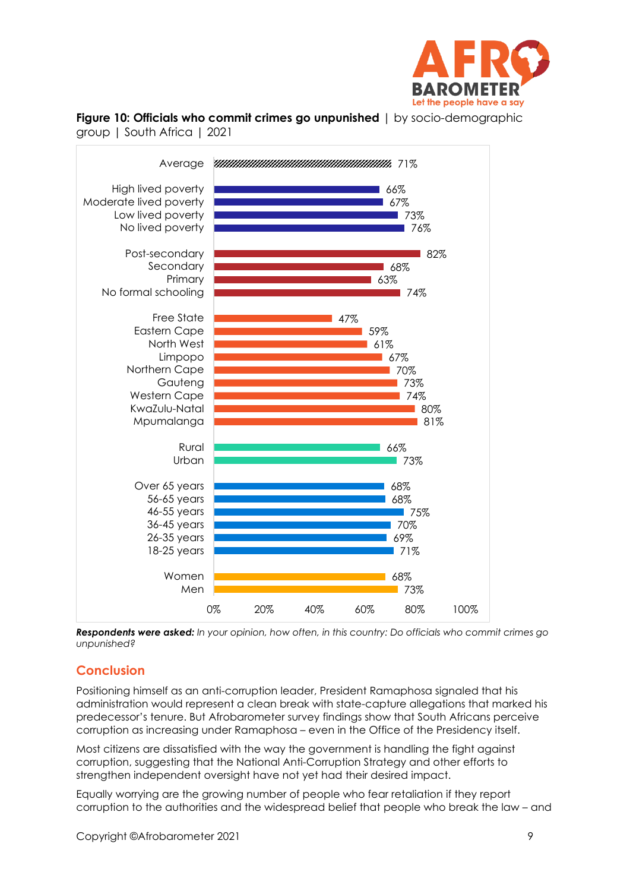





*Respondents were asked: In your opinion, how often, in this country: Do officials who commit crimes go unpunished?*

# **Conclusion**

Positioning himself as an anti-corruption leader, President Ramaphosa signaled that his administration would represent a clean break with state-capture allegations that marked his predecessor's tenure. But Afrobarometer survey findings show that South Africans perceive corruption as increasing under Ramaphosa – even in the Office of the Presidency itself.

Most citizens are dissatisfied with the way the government is handling the fight against corruption, suggesting that the National Anti-Corruption Strategy and other efforts to strengthen independent oversight have not yet had their desired impact.

Equally worrying are the growing number of people who fear retaliation if they report corruption to the authorities and the widespread belief that people who break the law – and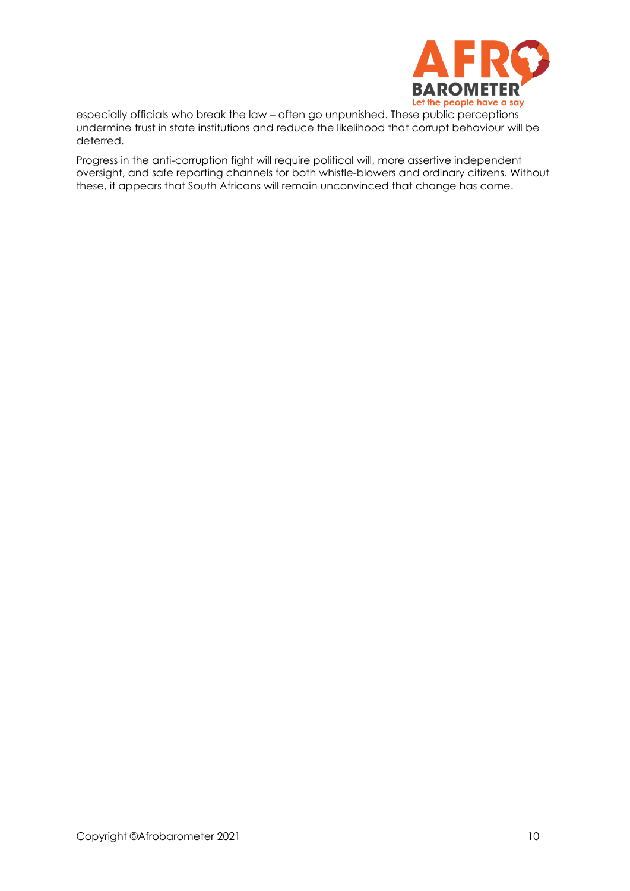

especially officials who break the law – often go unpunished. These public perceptions undermine trust in state institutions and reduce the likelihood that corrupt behaviour will be deterred.

Progress in the anti-corruption fight will require political will, more assertive independent oversight, and safe reporting channels for both whistle-blowers and ordinary citizens. Without these, it appears that South Africans will remain unconvinced that change has come.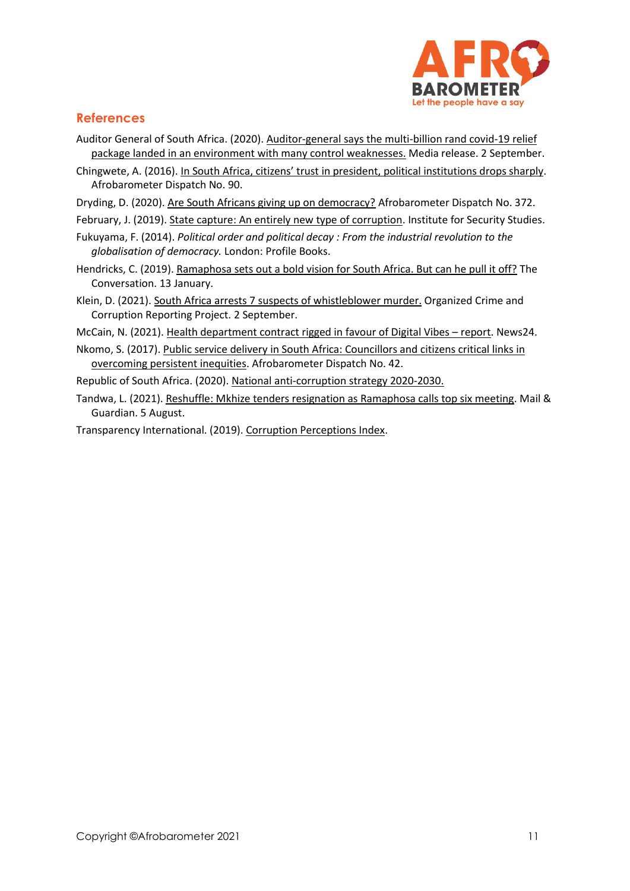

# **References**

- Auditor General of South Africa. (2020). [Auditor-general says the multi-billion rand covid-19 relief](https://www.agsa.co.za/Portals/0/Reports/Special%20Reports/Covid-19%20Special%20report/2020%20Covid-19%20Media%20Release%20FINALISED.pdf)  [package landed in an environment with many control weaknesses.](https://www.agsa.co.za/Portals/0/Reports/Special%20Reports/Covid-19%20Special%20report/2020%20Covid-19%20Media%20Release%20FINALISED.pdf) Media release. 2 September.
- Chingwete, A. (2016). [In South Africa, citizens' trust in president, political institutions drops sharply](https://afrobarometer.org/publications/ad90-south-africa-citizens-trust-president-political-institutions-drops-sharply). Afrobarometer Dispatch No. 90.
- Dryding, D. (2020)[. Are South Africans giving up on democracy?](https://afrobarometer.org/sites/default/files/publications/Dépêches/ab_r7_dispatchno372_are_south_africans_giving_up_on_democracy.pdf) Afrobarometer Dispatch No. 372.
- February, J. (2019). [State capture: An entirely new type of corruption.](https://issafrica.org/research/southern-africa-report/state-capture-an-entirely-new-type-of-corruption) Institute for Security Studies.
- Fukuyama, F. (2014). *Political order and political decay : From the industrial revolution to the globalisation of democracy.* London: Profile Books.
- Hendricks, C. (2019). [Ramaphosa sets out a bold vision for South Africa. But can he pull it off?](https://theconversation.com/ramaphosa-sets-out-a-bold-vision-for-south-africa-but-can-he-pull-it-off-109784) The Conversation. 13 January.
- Klein, D. (2021)[. South Africa arrests 7 suspects of whistleblower murder.](https://www.occrp.org/en/daily/15098-south-africa-arrests-7-suspects-of-whistleblower-murder) Organized Crime and Corruption Reporting Project. 2 September.
- McCain, N. (2021). [Health department contract rigged in favour of Digital Vibes](https://www.news24.com/news24/southafrica/news/health-department-contact-rigged-in-favour-of-digital-vibes-report-20210726) report. News24.
- Nkomo, S. (2017). [Public service delivery in South Africa: Councillors and citizens critical links in](https://afrobarometer.org/publications/pp42-public-service-delivery-south-africa-councillors-and-citizens-critical-links)  [overcoming persistent inequities.](https://afrobarometer.org/publications/pp42-public-service-delivery-south-africa-councillors-and-citizens-critical-links) Afrobarometer Dispatch No. 42.
- Republic of South Africa. (2020)[. National anti-corruption strategy 2020-2030.](https://www.gov.za/sites/default/files/gcis_document/202105/national-anti-corruption-strategy-2020-2030.pdf)
- Tandwa, L. (2021)[. Reshuffle: Mkhize tenders resignation as Ramaphosa calls top six meeting.](https://mg.co.za/politics/2021-08-05-mkhize-tenders-resignation-as-ramaphosa-calls-top-six-meeting-fueling-cabinet-reshuffle-speculation/) Mail & Guardian. 5 August.
- Transparency International. (2019)[. Corruption Perceptions Index.](https://www.transparency.org/en/cpi/2017/index/zaf)